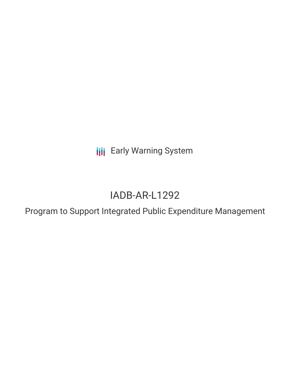**III** Early Warning System

# IADB-AR-L1292

Program to Support Integrated Public Expenditure Management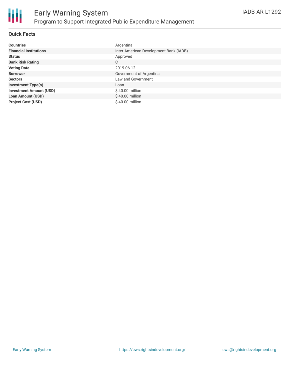

## **Quick Facts**

| <b>Countries</b>               | Argentina                              |
|--------------------------------|----------------------------------------|
| <b>Financial Institutions</b>  | Inter-American Development Bank (IADB) |
| <b>Status</b>                  | Approved                               |
| <b>Bank Risk Rating</b>        | C                                      |
| <b>Voting Date</b>             | 2019-06-12                             |
| <b>Borrower</b>                | Government of Argentina                |
| <b>Sectors</b>                 | Law and Government                     |
| <b>Investment Type(s)</b>      | Loan                                   |
| <b>Investment Amount (USD)</b> | \$40.00 million                        |
| <b>Loan Amount (USD)</b>       | $$40.00$ million                       |
| <b>Project Cost (USD)</b>      | $$40.00$ million                       |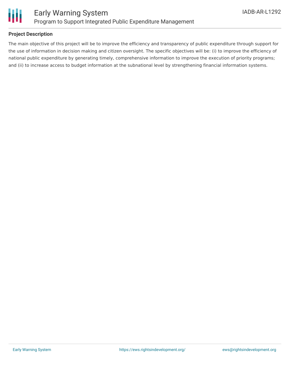

## **Project Description**

The main objective of this project will be to improve the efficiency and transparency of public expenditure through support for the use of information in decision making and citizen oversight. The specific objectives will be: (i) to improve the efficiency of national public expenditure by generating timely, comprehensive information to improve the execution of priority programs; and (ii) to increase access to budget information at the subnational level by strengthening financial information systems.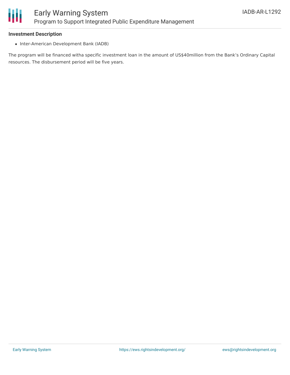

#### **Investment Description**

• Inter-American Development Bank (IADB)

The program will be financed witha specific investment loan in the amount of US\$40million from the Bank's Ordinary Capital resources. The disbursement period will be five years.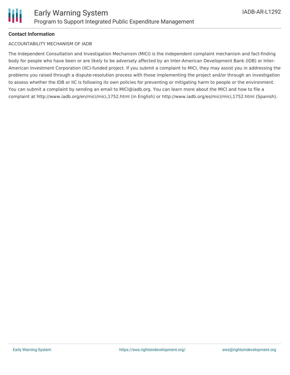## **Contact Information**

## ACCOUNTABILITY MECHANISM OF IADB

The Independent Consultation and Investigation Mechanism (MICI) is the independent complaint mechanism and fact-finding body for people who have been or are likely to be adversely affected by an Inter-American Development Bank (IDB) or Inter-American Investment Corporation (IIC)-funded project. If you submit a complaint to MICI, they may assist you in addressing the problems you raised through a dispute-resolution process with those implementing the project and/or through an investigation to assess whether the IDB or IIC is following its own policies for preventing or mitigating harm to people or the environment. You can submit a complaint by sending an email to MICI@iadb.org. You can learn more about the MICI and how to file a complaint at http://www.iadb.org/en/mici/mici,1752.html (in English) or http://www.iadb.org/es/mici/mici,1752.html (Spanish).